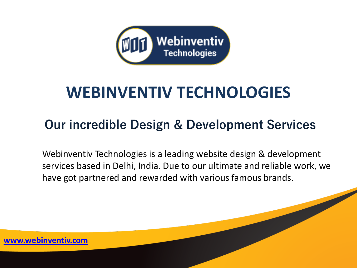

# **WEBINVENTIV TECHNOLOGIES**

#### **Our incredible Design & Development Services**

Webinventiv Technologies is a leading website design & development services based in Delhi, India. Due to our ultimate and reliable work, we have got partnered and rewarded with various famous brands.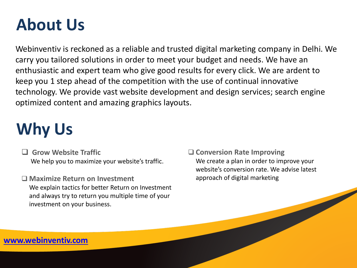## **About Us**

Webinventiv is reckoned as a reliable and trusted digital marketing company in Delhi. We carry you tailored solutions in order to meet your budget and needs. We have an enthusiastic and expert team who give good results for every click. We are ardent to keep you 1 step ahead of the competition with the use of continual innovative technology. We provide vast website development and design services; search engine optimized content and amazing graphics layouts.

# **Why Us**

 **Grow Website Traffic** We help you to maximize your website's traffic.

 **Maximize Return on Investment** We explain tactics for better Return on Investment and always try to return you multiple time of your investment on your business.

 **Conversion Rate Improving** We create a plan in order to improve your website's conversion rate. We advise latest approach of digital marketing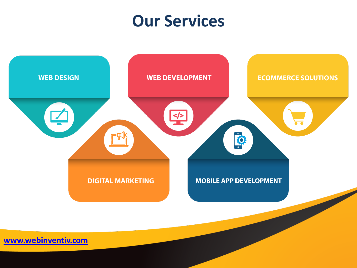#### **Our Services**

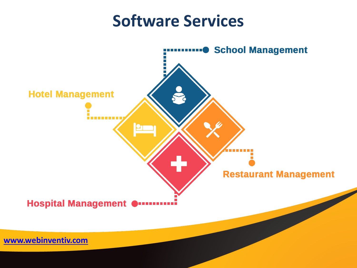#### **Software Services**

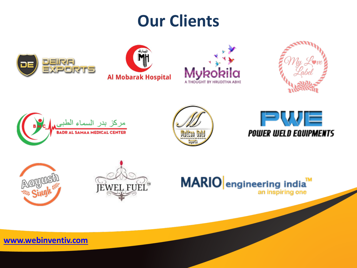### **Our Clients**





















**[www.webinventiv.com](http://www.webinventiv.com/)**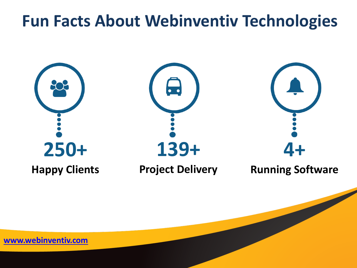#### **Fun Facts About Webinventiv Technologies**



**[www.webinventiv.com](http://www.webinventiv.com/)**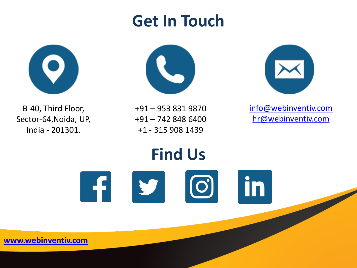

# **Get In Touch**





[info@webinventiv.com](mailto:info@webinventiv.com) [hr@webinventiv.com](mailto:hr@webinventiv.com)

B-40, Third Floor, Sector-64,Noida, UP, India - 201301.